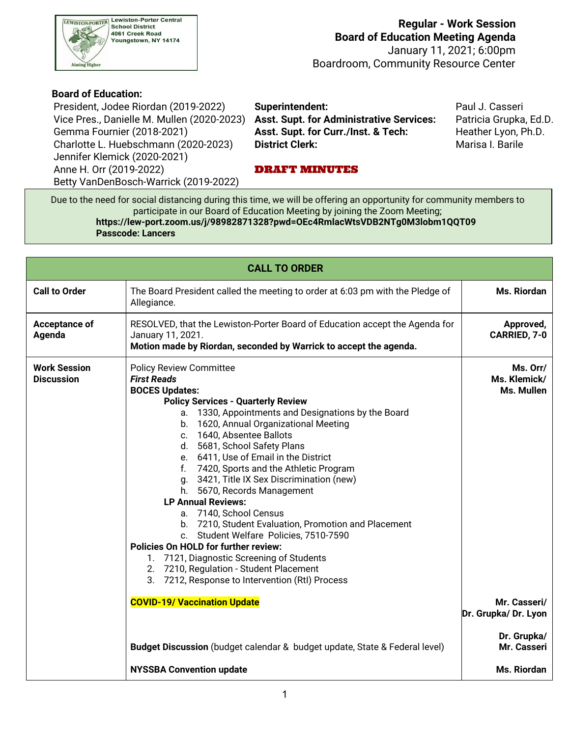

### **Board of Education:**

President, Jodee Riordan (2019-2022) **Superintendent:** Paul J. Casseri Vice Pres., Danielle M. Mullen (2020-2023) **Asst. Supt. for Administrative Services:** Patricia Grupka, Ed.D. Gemma Fournier (2018-2021) Charlotte L. Huebschmann (2020-2023) **District Clerk:** Marisa I. Barile Jennifer Klemick (2020-2021) Anne H. Orr (2019-2022) **DRAFT MINUTES** 

Asst. Supt. for Curr./Inst. & Tech: Heather Lyon, Ph.D.

Betty VanDenBosch-Warrick (2019-2022)

 Due to the need for social distancing during this time, we will be offering an opportunity for community members to participate in our Board of Education Meeting by joining the Zoom Meeting; **<https://lew-port.zoom.us/j/98982871328?pwd=OEc4RmlacWtsVDB2NTg0M3lobm1QQT09> Passcode: Lancers**

| <b>CALL TO ORDER</b>                     |                                                                                                                                                                                                                                                                                                                                                                                                                                                                                                                                                                                                                                                                                                                                                                                                               |                                        |  |  |  |  |  |  |
|------------------------------------------|---------------------------------------------------------------------------------------------------------------------------------------------------------------------------------------------------------------------------------------------------------------------------------------------------------------------------------------------------------------------------------------------------------------------------------------------------------------------------------------------------------------------------------------------------------------------------------------------------------------------------------------------------------------------------------------------------------------------------------------------------------------------------------------------------------------|----------------------------------------|--|--|--|--|--|--|
| <b>Call to Order</b>                     | The Board President called the meeting to order at 6:03 pm with the Pledge of<br>Allegiance.                                                                                                                                                                                                                                                                                                                                                                                                                                                                                                                                                                                                                                                                                                                  | Ms. Riordan                            |  |  |  |  |  |  |
| Acceptance of<br>Agenda                  | RESOLVED, that the Lewiston-Porter Board of Education accept the Agenda for<br>January 11, 2021.<br>Motion made by Riordan, seconded by Warrick to accept the agenda.                                                                                                                                                                                                                                                                                                                                                                                                                                                                                                                                                                                                                                         | Approved,<br>CARRIED, 7-0              |  |  |  |  |  |  |
| <b>Work Session</b><br><b>Discussion</b> | <b>Policy Review Committee</b><br><b>First Reads</b><br><b>BOCES Updates:</b><br><b>Policy Services - Quarterly Review</b><br>a. 1330, Appointments and Designations by the Board<br>b. 1620, Annual Organizational Meeting<br>c. 1640, Absentee Ballots<br>d. 5681, School Safety Plans<br>e. 6411, Use of Email in the District<br>f. 7420, Sports and the Athletic Program<br>g. 3421, Title IX Sex Discrimination (new)<br>h. 5670, Records Management<br><b>LP Annual Reviews:</b><br>a. 7140, School Census<br>b. 7210, Student Evaluation, Promotion and Placement<br>c. Student Welfare Policies, 7510-7590<br><b>Policies On HOLD for further review:</b><br>1. 7121, Diagnostic Screening of Students<br>2. 7210, Regulation - Student Placement<br>3. 7212, Response to Intervention (RtI) Process | Ms. Orr/<br>Ms. Klemick/<br>Ms. Mullen |  |  |  |  |  |  |
|                                          | Mr. Casseri/<br>Dr. Grupka/Dr. Lyon                                                                                                                                                                                                                                                                                                                                                                                                                                                                                                                                                                                                                                                                                                                                                                           |                                        |  |  |  |  |  |  |
|                                          | Budget Discussion (budget calendar & budget update, State & Federal level)                                                                                                                                                                                                                                                                                                                                                                                                                                                                                                                                                                                                                                                                                                                                    | Dr. Grupka/<br>Mr. Casseri             |  |  |  |  |  |  |
|                                          | <b>NYSSBA Convention update</b>                                                                                                                                                                                                                                                                                                                                                                                                                                                                                                                                                                                                                                                                                                                                                                               | <b>Ms. Riordan</b>                     |  |  |  |  |  |  |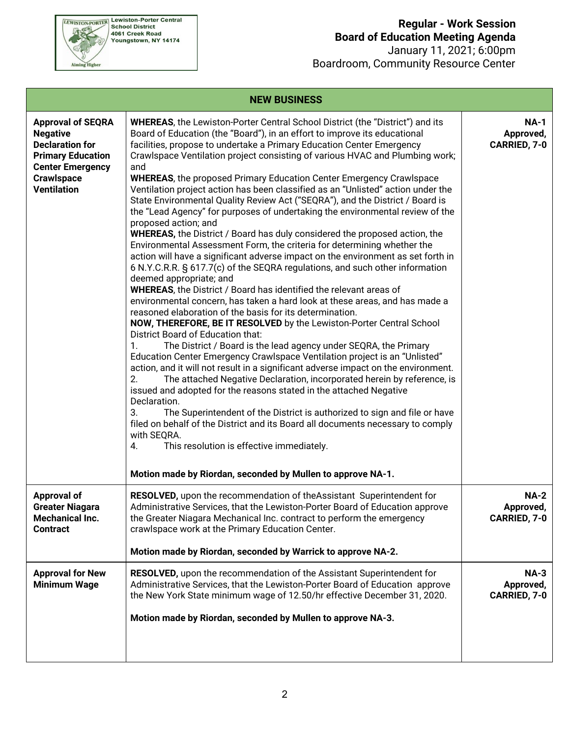

## **Regular - Work Session Board of Education Meeting Agenda**

 January 11, 2021; 6:00pm Boardroom, Community Resource Center

| <b>NEW BUSINESS</b>                                                                                                                                                     |                                                                                                                                                                                                                                                                                                                                                                                                                                                                                                                                                                                                                                                                                                                                                                                                                                                                                                                                                                                                                                                                                                                                                                                                                                                                                                                                                                                                                                                                                                                                                                                                                                                                                                                                                                                                                                                                                                                                                                                                                                                                                                                               |                                          |  |  |  |  |
|-------------------------------------------------------------------------------------------------------------------------------------------------------------------------|-------------------------------------------------------------------------------------------------------------------------------------------------------------------------------------------------------------------------------------------------------------------------------------------------------------------------------------------------------------------------------------------------------------------------------------------------------------------------------------------------------------------------------------------------------------------------------------------------------------------------------------------------------------------------------------------------------------------------------------------------------------------------------------------------------------------------------------------------------------------------------------------------------------------------------------------------------------------------------------------------------------------------------------------------------------------------------------------------------------------------------------------------------------------------------------------------------------------------------------------------------------------------------------------------------------------------------------------------------------------------------------------------------------------------------------------------------------------------------------------------------------------------------------------------------------------------------------------------------------------------------------------------------------------------------------------------------------------------------------------------------------------------------------------------------------------------------------------------------------------------------------------------------------------------------------------------------------------------------------------------------------------------------------------------------------------------------------------------------------------------------|------------------------------------------|--|--|--|--|
| <b>Approval of SEQRA</b><br><b>Negative</b><br><b>Declaration for</b><br><b>Primary Education</b><br><b>Center Emergency</b><br><b>Crawlspace</b><br><b>Ventilation</b> | <b>WHEREAS, the Lewiston-Porter Central School District (the "District") and its</b><br>Board of Education (the "Board"), in an effort to improve its educational<br>facilities, propose to undertake a Primary Education Center Emergency<br>Crawlspace Ventilation project consisting of various HVAC and Plumbing work;<br>and<br><b>WHEREAS, the proposed Primary Education Center Emergency Crawlspace</b><br>Ventilation project action has been classified as an "Unlisted" action under the<br>State Environmental Quality Review Act ("SEQRA"), and the District / Board is<br>the "Lead Agency" for purposes of undertaking the environmental review of the<br>proposed action; and<br><b>WHEREAS, the District / Board has duly considered the proposed action, the</b><br>Environmental Assessment Form, the criteria for determining whether the<br>action will have a significant adverse impact on the environment as set forth in<br>6 N.Y.C.R.R. § 617.7(c) of the SEQRA regulations, and such other information<br>deemed appropriate; and<br><b>WHEREAS, the District / Board has identified the relevant areas of</b><br>environmental concern, has taken a hard look at these areas, and has made a<br>reasoned elaboration of the basis for its determination.<br>NOW, THEREFORE, BE IT RESOLVED by the Lewiston-Porter Central School<br>District Board of Education that:<br>The District / Board is the lead agency under SEQRA, the Primary<br>1.<br>Education Center Emergency Crawlspace Ventilation project is an "Unlisted"<br>action, and it will not result in a significant adverse impact on the environment.<br>The attached Negative Declaration, incorporated herein by reference, is<br>2.<br>issued and adopted for the reasons stated in the attached Negative<br>Declaration.<br>The Superintendent of the District is authorized to sign and file or have<br>3.<br>filed on behalf of the District and its Board all documents necessary to comply<br>with SEQRA.<br>This resolution is effective immediately.<br>4.<br>Motion made by Riordan, seconded by Mullen to approve NA-1. | <b>NA-1</b><br>Approved,<br>CARRIED, 7-0 |  |  |  |  |
| <b>Approval of</b><br><b>Greater Niagara</b><br><b>Mechanical Inc.</b><br><b>Contract</b>                                                                               | RESOLVED, upon the recommendation of the Assistant Superintendent for<br>Administrative Services, that the Lewiston-Porter Board of Education approve<br>the Greater Niagara Mechanical Inc. contract to perform the emergency<br>crawlspace work at the Primary Education Center.<br>Motion made by Riordan, seconded by Warrick to approve NA-2.                                                                                                                                                                                                                                                                                                                                                                                                                                                                                                                                                                                                                                                                                                                                                                                                                                                                                                                                                                                                                                                                                                                                                                                                                                                                                                                                                                                                                                                                                                                                                                                                                                                                                                                                                                            | <b>NA-2</b><br>Approved,<br>CARRIED, 7-0 |  |  |  |  |
| <b>Approval for New</b><br><b>Minimum Wage</b>                                                                                                                          | <b>RESOLVED, upon the recommendation of the Assistant Superintendent for</b><br>Administrative Services, that the Lewiston-Porter Board of Education approve                                                                                                                                                                                                                                                                                                                                                                                                                                                                                                                                                                                                                                                                                                                                                                                                                                                                                                                                                                                                                                                                                                                                                                                                                                                                                                                                                                                                                                                                                                                                                                                                                                                                                                                                                                                                                                                                                                                                                                  | $NA-3$<br>Approved,                      |  |  |  |  |
|                                                                                                                                                                         | the New York State minimum wage of 12.50/hr effective December 31, 2020.                                                                                                                                                                                                                                                                                                                                                                                                                                                                                                                                                                                                                                                                                                                                                                                                                                                                                                                                                                                                                                                                                                                                                                                                                                                                                                                                                                                                                                                                                                                                                                                                                                                                                                                                                                                                                                                                                                                                                                                                                                                      | CARRIED, 7-0                             |  |  |  |  |
|                                                                                                                                                                         | Motion made by Riordan, seconded by Mullen to approve NA-3.                                                                                                                                                                                                                                                                                                                                                                                                                                                                                                                                                                                                                                                                                                                                                                                                                                                                                                                                                                                                                                                                                                                                                                                                                                                                                                                                                                                                                                                                                                                                                                                                                                                                                                                                                                                                                                                                                                                                                                                                                                                                   |                                          |  |  |  |  |
|                                                                                                                                                                         |                                                                                                                                                                                                                                                                                                                                                                                                                                                                                                                                                                                                                                                                                                                                                                                                                                                                                                                                                                                                                                                                                                                                                                                                                                                                                                                                                                                                                                                                                                                                                                                                                                                                                                                                                                                                                                                                                                                                                                                                                                                                                                                               |                                          |  |  |  |  |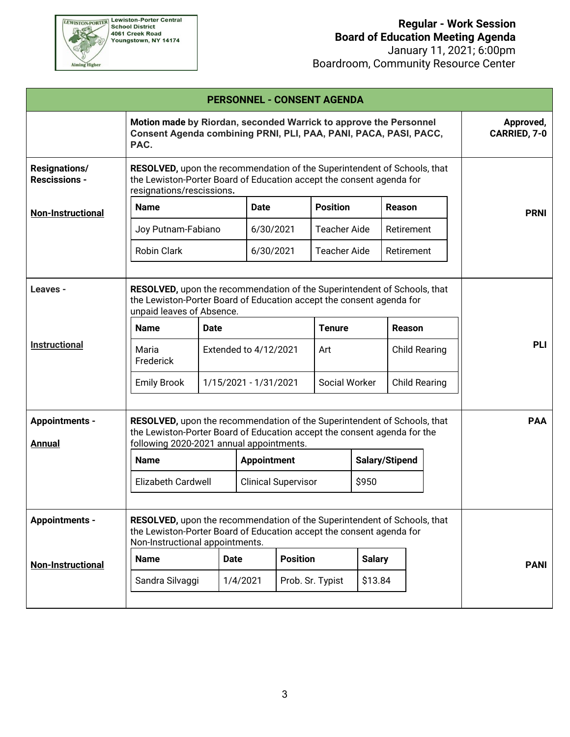

 January 11, 2021; 6:00pm Boardroom, Community Resource Center

|                                              |                                                                                                                                                                                                  |                                                                                                                                                                                              |                            |             | <b>PERSONNEL - CONSENT AGENDA</b>     |                                  |                      |            |                           |  |
|----------------------------------------------|--------------------------------------------------------------------------------------------------------------------------------------------------------------------------------------------------|----------------------------------------------------------------------------------------------------------------------------------------------------------------------------------------------|----------------------------|-------------|---------------------------------------|----------------------------------|----------------------|------------|---------------------------|--|
|                                              | Motion made by Riordan, seconded Warrick to approve the Personnel<br>Consent Agenda combining PRNI, PLI, PAA, PANI, PACA, PASI, PACC,<br>PAC.                                                    |                                                                                                                                                                                              |                            |             |                                       |                                  |                      |            | Approved,<br>CARRIED, 7-0 |  |
| <b>Resignations/</b><br><b>Rescissions -</b> | <b>RESOLVED</b> , upon the recommendation of the Superintendent of Schools, that<br>the Lewiston-Porter Board of Education accept the consent agenda for<br>resignations/rescissions.            |                                                                                                                                                                                              |                            |             |                                       |                                  |                      |            |                           |  |
| <b>Non-Instructional</b>                     | <b>Name</b>                                                                                                                                                                                      |                                                                                                                                                                                              |                            | <b>Date</b> |                                       | <b>Position</b><br><b>Reason</b> |                      |            | <b>PRNI</b>               |  |
|                                              | Joy Putnam-Fabiano                                                                                                                                                                               |                                                                                                                                                                                              |                            | 6/30/2021   | <b>Teacher Aide</b>                   |                                  | Retirement           |            |                           |  |
|                                              | <b>Robin Clark</b>                                                                                                                                                                               |                                                                                                                                                                                              |                            | 6/30/2021   | <b>Teacher Aide</b>                   |                                  | Retirement           |            |                           |  |
| Leaves -<br><b>Instructional</b>             | <b>Name</b>                                                                                                                                                                                      | RESOLVED, upon the recommendation of the Superintendent of Schools, that<br>the Lewiston-Porter Board of Education accept the consent agenda for<br>unpaid leaves of Absence.<br><b>Date</b> |                            |             | <b>Tenure</b>                         |                                  | Reason               |            | <b>PLI</b>                |  |
|                                              | Maria<br>Frederick                                                                                                                                                                               | Extended to 4/12/2021                                                                                                                                                                        |                            |             | Art                                   |                                  | <b>Child Rearing</b> |            |                           |  |
|                                              | <b>Emily Brook</b>                                                                                                                                                                               | 1/15/2021 - 1/31/2021                                                                                                                                                                        |                            |             | Social Worker<br><b>Child Rearing</b> |                                  |                      |            |                           |  |
| <b>Appointments -</b><br><b>Annual</b>       | RESOLVED, upon the recommendation of the Superintendent of Schools, that<br>the Lewiston-Porter Board of Education accept the consent agenda for the<br>following 2020-2021 annual appointments. |                                                                                                                                                                                              |                            |             |                                       |                                  |                      | <b>PAA</b> |                           |  |
|                                              | <b>Name</b>                                                                                                                                                                                      | <b>Appointment</b>                                                                                                                                                                           |                            |             | Salary/Stipend                        |                                  |                      |            |                           |  |
|                                              | <b>Elizabeth Cardwell</b>                                                                                                                                                                        |                                                                                                                                                                                              | <b>Clinical Supervisor</b> |             |                                       | \$950                            |                      |            |                           |  |
| <b>Appointments -</b>                        | RESOLVED, upon the recommendation of the Superintendent of Schools, that<br>the Lewiston-Porter Board of Education accept the consent agenda for<br>Non-Instructional appointments.              |                                                                                                                                                                                              |                            |             |                                       |                                  |                      |            |                           |  |
| <b>Non-Instructional</b>                     | <b>Name</b>                                                                                                                                                                                      | <b>Date</b>                                                                                                                                                                                  | <b>Position</b>            |             | <b>Salary</b>                         |                                  |                      |            | <b>PANI</b>               |  |
|                                              | Sandra Silvaggi                                                                                                                                                                                  |                                                                                                                                                                                              | 1/4/2021                   |             | Prob. Sr. Typist                      | \$13.84                          |                      |            |                           |  |
|                                              |                                                                                                                                                                                                  |                                                                                                                                                                                              |                            |             |                                       |                                  |                      |            |                           |  |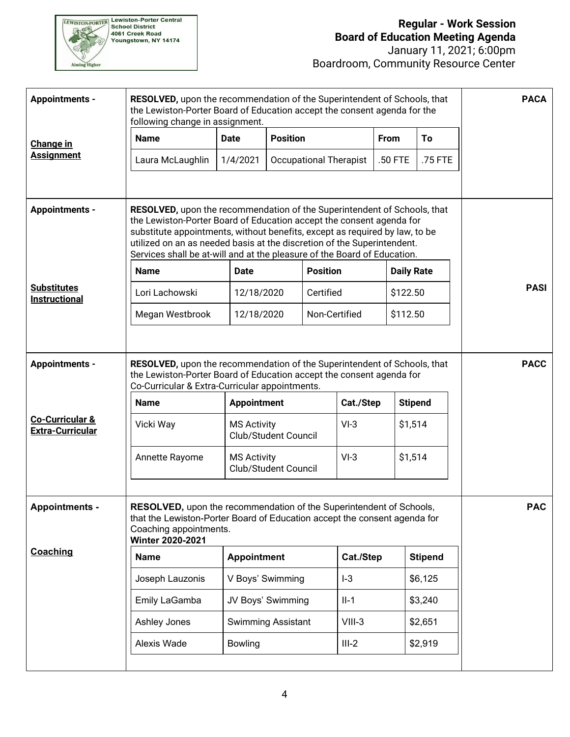

### **Regular - Work Session Board of Education Meeting Agenda**

 January 11, 2021; 6:00pm Boardroom, Community Resource Center

| <b>Appointments -</b>                                 | <b>RESOLVED, upon the recommendation of the Superintendent of Schools, that</b><br>the Lewiston-Porter Board of Education accept the consent agenda for the<br>following change in assignment.                                                                                                                                                                                         |                                            |                               |                 |                   |                | <b>PACA</b> |
|-------------------------------------------------------|----------------------------------------------------------------------------------------------------------------------------------------------------------------------------------------------------------------------------------------------------------------------------------------------------------------------------------------------------------------------------------------|--------------------------------------------|-------------------------------|-----------------|-------------------|----------------|-------------|
| Change in                                             | <b>Name</b>                                                                                                                                                                                                                                                                                                                                                                            | <b>Date</b>                                |                               | <b>Position</b> |                   | To             |             |
| <b>Assignment</b>                                     | Laura McLaughlin                                                                                                                                                                                                                                                                                                                                                                       | 1/4/2021                                   | <b>Occupational Therapist</b> |                 | .50 FTE           | .75 FTE        |             |
| <b>Appointments -</b>                                 | RESOLVED, upon the recommendation of the Superintendent of Schools, that<br>the Lewiston-Porter Board of Education accept the consent agenda for<br>substitute appointments, without benefits, except as required by law, to be<br>utilized on an as needed basis at the discretion of the Superintendent.<br>Services shall be at-will and at the pleasure of the Board of Education. |                                            |                               |                 |                   |                |             |
|                                                       | <b>Name</b>                                                                                                                                                                                                                                                                                                                                                                            | <b>Date</b>                                |                               | <b>Position</b> | <b>Daily Rate</b> |                |             |
| <b>Substitutes</b><br>Instructional                   | Lori Lachowski                                                                                                                                                                                                                                                                                                                                                                         | 12/18/2020                                 |                               | Certified       | \$122.50          |                | <b>PASI</b> |
|                                                       | Megan Westbrook                                                                                                                                                                                                                                                                                                                                                                        | 12/18/2020                                 |                               | Non-Certified   | \$112.50          |                |             |
| <b>Appointments -</b>                                 | RESOLVED, upon the recommendation of the Superintendent of Schools, that<br>the Lewiston-Porter Board of Education accept the consent agenda for<br>Co-Curricular & Extra-Curricular appointments.                                                                                                                                                                                     |                                            |                               |                 |                   |                | <b>PACC</b> |
|                                                       | <b>Name</b>                                                                                                                                                                                                                                                                                                                                                                            | <b>Appointment</b>                         | Cat./Step                     |                 | <b>Stipend</b>    |                |             |
| <b>Co-Curricular &amp;</b><br><b>Extra-Curricular</b> | Vicki Way                                                                                                                                                                                                                                                                                                                                                                              | <b>MS Activity</b><br>Club/Student Council |                               | $VI-3$          | \$1,514           |                |             |
|                                                       | Annette Rayome                                                                                                                                                                                                                                                                                                                                                                         | <b>MS Activity</b><br>Club/Student Council |                               | $VI-3$          | \$1,514           |                |             |
| <b>Appointments -</b>                                 | RESOLVED, upon the recommendation of the Superintendent of Schools,<br>that the Lewiston-Porter Board of Education accept the consent agenda for<br>Coaching appointments.<br>Winter 2020-2021                                                                                                                                                                                         | <b>PAC</b>                                 |                               |                 |                   |                |             |
| Coaching                                              | <b>Name</b>                                                                                                                                                                                                                                                                                                                                                                            | <b>Appointment</b>                         |                               | Cat./Step       |                   | <b>Stipend</b> |             |
|                                                       | Joseph Lauzonis                                                                                                                                                                                                                                                                                                                                                                        | V Boys' Swimming                           |                               | $I-3$           |                   | \$6,125        |             |
|                                                       | Emily LaGamba                                                                                                                                                                                                                                                                                                                                                                          | JV Boys' Swimming                          |                               | $II-1$          |                   | \$3,240        |             |
|                                                       | Ashley Jones                                                                                                                                                                                                                                                                                                                                                                           | <b>Swimming Assistant</b>                  |                               | $VIII-3$        |                   | \$2,651        |             |
|                                                       | Alexis Wade                                                                                                                                                                                                                                                                                                                                                                            | <b>Bowling</b>                             |                               | $III-2$         |                   | \$2,919        |             |
|                                                       |                                                                                                                                                                                                                                                                                                                                                                                        |                                            |                               |                 |                   |                |             |